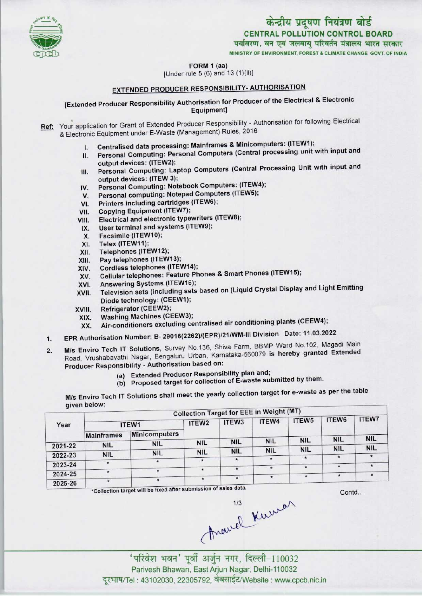

# केन्द्रीय प्रदूषण नियंत्रण बोर्ड CENTRAL POLLUTION CONTROL BOARD<br>पर्यावरण, वन एवं जलवाय परिवर्तन मंत्रालय भारत सरकार

MINISTRY OF ENVIRONMENT. FOREST & CLIMATE CHANGE GOVT. OF INDIA

#### FORM 1 (aa)

 $[Under rule 5 (6) and 13 (1)(ii)]$ 

### EXTENDED PRODUCER RESPONSIBILITY- AUTHORISATION

#### [Extended Producer Responsibility Authorisation for Producer of the Electrical & Electronic Equipment]

- Ref: Your application for Grant of Extended Producer Responsibility Authorisation for following Electrical & Electronic Equipment under E-Waste (Management) Rules, 2016
	- I. Centralised data processing: Mainframes & Minicomputers: (ITEW1);
	- II. Personal Computing: Personal Computers (Central processing unit with input and output devices: (ITEW2);
	- III. Personal Computing: Laptop Computers (Central Processing Unit with input and output devices: (ITEW 3); III. Personal Computing: Laptop Computers (Central Pi<br>output devices: (ITEW 3);<br>IV. Personal Computing: Notebook Computers: (ITEW4);
	- output devices: (ITEW 3);<br>V. Personal Computing: Notebook Computers: (ITEW<br>V. Personal computing: Notepad Computers (ITEW5);
	- IV. Personal Computing: Notebook Computers: (ITEW-<br>V. Personal computing: Notepad Computers (ITEW5);<br>VI. Printers including cartridges (ITEW6);<br>VII. Copying Equipment (ITEW7);
	-
	-
	- VI. Printers including cartridges (ITEW6);<br>VII. Copying Equipment (ITEW7);<br>VIII. Electrical and electronic typewriters (I VI. Printers including cartridges (ITEW6);<br>VII. Copying Equipment (ITEW7);<br>VIII. Electrical and electronic typewriters (ITEW8); /II. Copying Equipment (ITEW7);<br>III. Electrical and electronic typewriters<br>IX. User terminal and systems (ITEW9);
	- IX. User terminal and systems (ITEW9);<br>X. Facsimile (ITEW10);<br>XI. Telex (ITEW11);
	-
	-
	- X. Facsimile (ITEW10);<br>XI. Telex (ITEW11);<br>XII. Telephones (ITEW12
	- XII. Telephones (ITEW12);<br>XIII. Pay telephones (ITEW
	- XIII. Pay telephones (ITEW13);<br>XIV. Cordless telephones (ITE)
	- XIV. Cordless telephones (ITEW14);<br>XV. Cellular telephones: Feature Ph XIII. Pay telephones (ITEW13);<br>XIV. Cordless telephones (ITEW14);<br>XV. Cellular telephones: Feature Phones & Smart Phones (ITEW15); XIV. Cordiess telephones (ITEW14)<br>XV. Cellular telephones: Feature P<br>XVI. Answering Systems (ITEW16);<br>XVII. Television ests (including sets
	-
	- XVI. Answering Systems (ITEW16);<br>XVII. Television sets (including sets based on (Liquid Crystal Display and Light Emitting Diode technology: (CEEW1);
	-
	- XVIII. Refrigerator (CEEW2);<br>XIX. Washing Machines (CI Washing Machines (CEEW3);
		- XX. Air-conditioners excluding centralised air conditioning plants(CEEW4);
	- 1.EPR Authorisation Number: B- 29016(2262)/(EPR)/21/WM-lll Division Date: 11.03.2022
	- 2. M/s Enviro Tech IT Solutions, Survey No.136, Shiva Farm, BBMP Ward No.102, Magadi Main Road, Vrushabavathi Nagar, Bengaluru Urban, Karnataka-560079 is hereby granted Extended Producer Responsibility - Authorisation based on:
		- (a) Extended Producer Responsibility plan and;
		- (b) Proposed target for collection of E-waste submitted by them.

species to the table<br>M/s Enviro Tech IT Solutions shall meet the yearly collection target for e-waste as per the table given below:

|         | discussore        |               |                   | <b>Collection Target for EEE in Weight (MT)</b> |            |                   |            |              |
|---------|-------------------|---------------|-------------------|-------------------------------------------------|------------|-------------------|------------|--------------|
| Year    | ITEW1             |               | ITEW <sub>2</sub> | ITEW3                                           | ITEW4      | ITEW <sub>5</sub> | ITEW6      | <b>ITEW7</b> |
|         | <b>Mainframes</b> | Minicomputers |                   |                                                 |            |                   |            |              |
|         | <b>NIL</b>        | <b>NIL</b>    | <b>NIL</b>        | <b>NIL</b>                                      | <b>NIL</b> | <b>NIL</b>        | <b>NIL</b> | <b>NIL</b>   |
| 2021-22 |                   |               | <b>NIL</b>        | <b>NIL</b>                                      | <b>NIL</b> | <b>NIL</b>        | <b>NIL</b> | <b>NIL</b>   |
| 2022-23 | <b>NIL</b>        | <b>NIL</b>    |                   |                                                 |            | $\star$           |            |              |
| 2023-24 |                   | $\star$       |                   |                                                 |            | $\star$           | ٠          |              |
| 2024-25 |                   |               | ۰                 | $\pmb{\star}$                                   |            |                   |            |              |
| 2025-26 | $\star$           |               | *                 | $\star$                                         | $\star$    |                   |            |              |

Contd...

Aravel Kumar

' परिवेश भवन' पूर्वी अर्जुन नगर, दिल्ली-110032 Parivesh Bhawan, East Arjun Nagar, Delhi-110032 दूरभाष/Tel : 43102030, 22305792, वेबसाईट/Website : www.cpcb.nic.in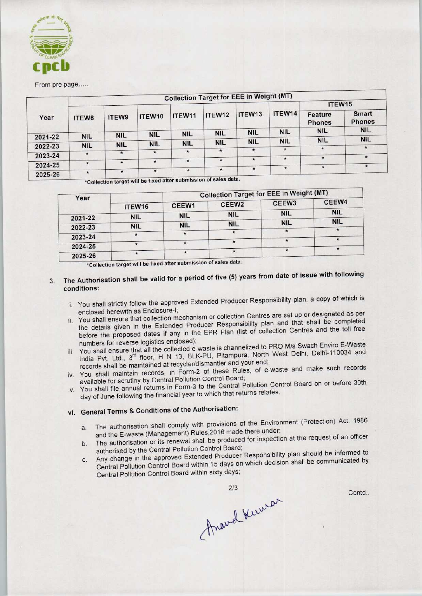

From pre page.....

|         |              |              |            |            |                                                                                                                 | <b>Collection Target for EEE in Weight (MT)</b> |               |                          |                        |
|---------|--------------|--------------|------------|------------|-----------------------------------------------------------------------------------------------------------------|-------------------------------------------------|---------------|--------------------------|------------------------|
| Year    |              |              |            |            |                                                                                                                 |                                                 | ITEW14        | ITEW <sub>15</sub>       |                        |
|         | <b>ITEW8</b> | <b>ITEW9</b> | ITEW10     | ITEW11     | ITEW12                                                                                                          | ITEW <sub>13</sub>                              |               | Feature<br><b>Phones</b> | Smart<br><b>Phones</b> |
|         |              |              | <b>NIL</b> | <b>NIL</b> | <b>NIL</b>                                                                                                      | <b>NIL</b>                                      | <b>NIL</b>    | <b>NIL</b>               | <b>NIL</b>             |
| 2021-22 | <b>NIL</b>   | <b>NIL</b>   |            |            |                                                                                                                 |                                                 | <b>NIL</b>    | <b>NIL</b>               | <b>NIL</b>             |
| 2022-23 | <b>NIL</b>   | <b>NIL</b>   | <b>NIL</b> | <b>NIL</b> | <b>NIL</b>                                                                                                      | <b>NIL</b>                                      |               |                          |                        |
|         |              | $\star$      | $\star$    | $\star$    | $\star$                                                                                                         | $\star$                                         | $\star$       | $\star$                  | $\star$                |
| 2023-24 | $\star$      |              |            |            |                                                                                                                 |                                                 | $\star$       |                          | $\star$                |
|         | $\star$      | $\bullet$    | $\star$    | $\star$    | $\star$                                                                                                         | $\star$                                         |               |                          |                        |
| 2024-25 |              |              |            | $\star$    | $\star$                                                                                                         | $\star$                                         | $\pmb{\star}$ | $\star$                  |                        |
| 2025-26 | $\star$      | ۰            | $\star$    |            | month and a state of the state of the state of the state of the state of the state of the state of the state of |                                                 |               |                          |                        |

\*
collection target will be fixed after submission of sales data.

| <b>Collection Target for EEE in Weight (MT)</b> |                   |                                                                  |            |  |  |
|-------------------------------------------------|-------------------|------------------------------------------------------------------|------------|--|--|
| CEEW1                                           | CEEW <sub>2</sub> | CEEW <sub>3</sub>                                                | CEEW4      |  |  |
| <b>NIL</b>                                      | <b>NIL</b>        | <b>NIL</b>                                                       | <b>NIL</b> |  |  |
| <b>NIL</b>                                      | <b>NIL</b>        | <b>NIL</b>                                                       | <b>NIL</b> |  |  |
|                                                 |                   |                                                                  | $\star$    |  |  |
|                                                 |                   |                                                                  |            |  |  |
|                                                 |                   |                                                                  |            |  |  |
| ITEW <sub>16</sub><br><b>NIL</b><br><b>NIL</b>  |                   | *Collection target will be fixed after submission of sales data. |            |  |  |

## 3. The Authorisation shall be valid for a period of five (5) years from date of issue with following conditions:

- i. You shall strictly follow the approved Extended Producer Responsibility plan, a copy of which is enclosed herewith as Enclosure-I;
- ii. You shall ensure that collection mechanism or collection Centres are set up or designated as per the details given in the Extended Producer Responsibility plan and that shall be completed before the proposed dates if any in the EPR Plan (list of collection Centres and the toll free numbers for reverse logistics enclosed);
- iii. You shall ensure that all the collected e-waste is channelized to PRO M/s Swach Enviro E-Waste India Pvt. Ltd., 3<sup>rd</sup> floor, H N 13, BLK-PU, Pitampura, North West Delhi, Delhi-110034 and records shall be maintained at recycler/dismantler and your end;
- iv. You shall maintain records, in Form-2 of these Rules, of e-waste and make such records available for scrutiny by Central Pollution Control Board;
- v. You shall file annual returns in Form-3 to the Central Pollution Control Board on or before 30th day of June following the financial year to which that returns relates.

## vi. General Terms & Conditions of the Authorisation:

- a. The authorisation shall comply with provisions of the Environment (Protection) Act, 1986 and the E-waste (Management) Rules,2016 made there under;
- b. The authorisation or its renewal shall be produced for inspection at the request of an officer authorised by the Central Pollution Control Board;
- c. Any change in the approved Extended Producer Responsibility plan should be informed to Central Pollution Control Board within 15 days on which decision shall be communicated by Central Pollution Control Board within sixty days;

Contd..

Anavel Kumar